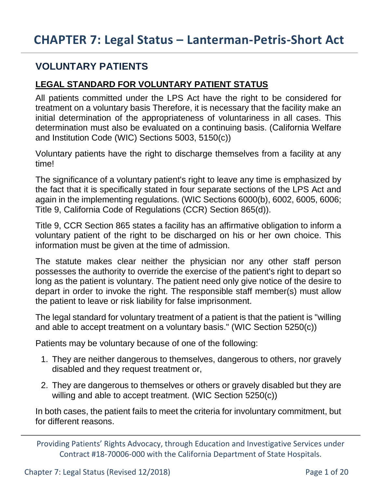## **VOLUNTARY PATIENTS**

### **LEGAL STANDARD FOR VOLUNTARY PATIENT STATUS**

All patients committed under the LPS Act have the right to be considered for treatment on a voluntary basis Therefore, it is necessary that the facility make an initial determination of the appropriateness of voluntariness in all cases. This determination must also be evaluated on a continuing basis. (California Welfare and Institution Code (WIC) Sections 5003, 5150(c))

Voluntary patients have the right to discharge themselves from a facility at any time!

The significance of a voluntary patient's right to leave any time is emphasized by the fact that it is specifically stated in four separate sections of the LPS Act and again in the implementing regulations. (WIC Sections 6000(b), 6002, 6005, 6006; Title 9, California Code of Regulations (CCR) Section 865(d)).

Title 9, CCR Section 865 states a facility has an affirmative obligation to inform a voluntary patient of the right to be discharged on his or her own choice. This information must be given at the time of admission.

The statute makes clear neither the physician nor any other staff person possesses the authority to override the exercise of the patient's right to depart so long as the patient is voluntary. The patient need only give notice of the desire to depart in order to invoke the right. The responsible staff member(s) must allow the patient to leave or risk liability for false imprisonment.

The legal standard for voluntary treatment of a patient is that the patient is "willing and able to accept treatment on a voluntary basis." (WIC Section 5250(c))

Patients may be voluntary because of one of the following:

- 1. They are neither dangerous to themselves, dangerous to others, nor gravely disabled and they request treatment or,
- 2. They are dangerous to themselves or others or gravely disabled but they are willing and able to accept treatment. (WIC Section 5250(c))

In both cases, the patient fails to meet the criteria for involuntary commitment, but for different reasons.

Providing Patients' Rights Advocacy, through Education and Investigative Services under Contract #18-70006-000 with the California Department of State Hospitals.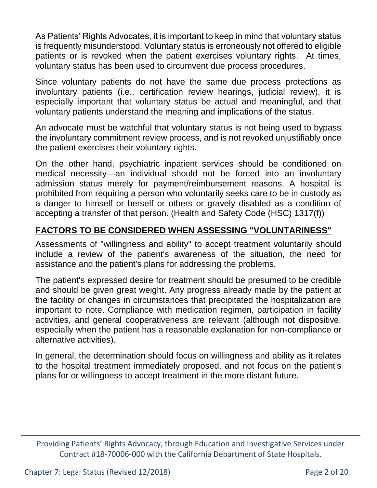As Patients' Rights Advocates, it is important to keep in mind that voluntary status is frequently misunderstood. Voluntary status is erroneously not offered to eligible patients or is revoked when the patient exercises voluntary rights. At times, voluntary status has been used to circumvent due process procedures.

Since voluntary patients do not have the same due process protections as involuntary patients (i.e., certification review hearings, judicial review), it is especially important that voluntary status be actual and meaningful, and that voluntary patients understand the meaning and implications of the status.

An advocate must be watchful that voluntary status is not being used to bypass the involuntary commitment review process, and is not revoked unjustifiably once the patient exercises their voluntary rights.

On the other hand, psychiatric inpatient services should be conditioned on medical necessity—an individual should not be forced into an involuntary admission status merely for payment/reimbursement reasons. A hospital is prohibited from requiring a person who voluntarily seeks care to be in custody as a danger to himself or herself or others or gravely disabled as a condition of accepting a transfer of that person. (Health and Safety Code (HSC) 1317(f))

### **FACTORS TO BE CONSIDERED WHEN ASSESSING "VOLUNTARINESS"**

Assessments of "willingness and ability" to accept treatment voluntarily should include a review of the patient's awareness of the situation, the need for assistance and the patient's plans for addressing the problems.

The patient's expressed desire for treatment should be presumed to be credible and should be given great weight. Any progress already made by the patient at the facility or changes in circumstances that precipitated the hospitalization are important to note. Compliance with medication regimen, participation in facility activities, and general cooperativeness are relevant (although not dispositive, especially when the patient has a reasonable explanation for non-compliance or alternative activities).

In general, the determination should focus on willingness and ability as it relates to the hospital treatment immediately proposed, and not focus on the patient's plans for or willingness to accept treatment in the more distant future.

Providing Patients' Rights Advocacy, through Education and Investigative Services under Contract #18-70006-000 with the California Department of State Hospitals.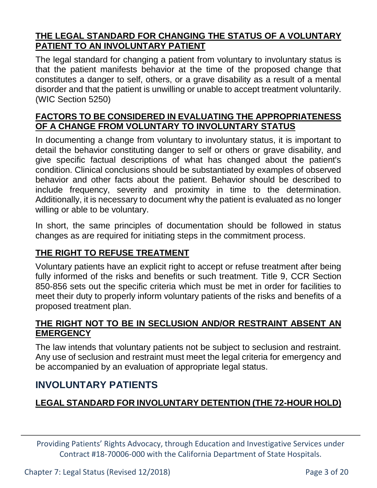#### **THE LEGAL STANDARD FOR CHANGING THE STATUS OF A VOLUNTARY PATIENT TO AN INVOLUNTARY PATIENT**

The legal standard for changing a patient from voluntary to involuntary status is that the patient manifests behavior at the time of the proposed change that constitutes a danger to self, others, or a grave disability as a result of a mental disorder and that the patient is unwilling or unable to accept treatment voluntarily. (WIC Section 5250)

#### **FACTORS TO BE CONSIDERED IN EVALUATING THE APPROPRIATENESS OF A CHANGE FROM VOLUNTARY TO INVOLUNTARY STATUS**

In documenting a change from voluntary to involuntary status, it is important to detail the behavior constituting danger to self or others or grave disability, and give specific factual descriptions of what has changed about the patient's condition. Clinical conclusions should be substantiated by examples of observed behavior and other facts about the patient. Behavior should be described to include frequency, severity and proximity in time to the determination. Additionally, it is necessary to document why the patient is evaluated as no longer willing or able to be voluntary.

In short, the same principles of documentation should be followed in status changes as are required for initiating steps in the commitment process.

### **THE RIGHT TO REFUSE TREATMENT**

Voluntary patients have an explicit right to accept or refuse treatment after being fully informed of the risks and benefits or such treatment. Title 9, CCR Section 850-856 sets out the specific criteria which must be met in order for facilities to meet their duty to properly inform voluntary patients of the risks and benefits of a proposed treatment plan.

#### **THE RIGHT NOT TO BE IN SECLUSION AND/OR RESTRAINT ABSENT AN EMERGENCY**

The law intends that voluntary patients not be subject to seclusion and restraint. Any use of seclusion and restraint must meet the legal criteria for emergency and be accompanied by an evaluation of appropriate legal status.

## **INVOLUNTARY PATIENTS**

## **LEGAL STANDARD FOR INVOLUNTARY DETENTION (THE 72-HOUR HOLD)**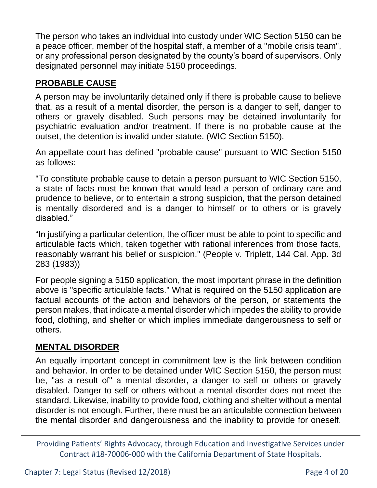The person who takes an individual into custody under WIC Section 5150 can be a peace officer, member of the hospital staff, a member of a "mobile crisis team", or any professional person designated by the county's board of supervisors. Only designated personnel may initiate 5150 proceedings.

## **PROBABLE CAUSE**

A person may be involuntarily detained only if there is probable cause to believe that, as a result of a mental disorder, the person is a danger to self, danger to others or gravely disabled. Such persons may be detained involuntarily for psychiatric evaluation and/or treatment. If there is no probable cause at the outset, the detention is invalid under statute. (WIC Section 5150).

An appellate court has defined "probable cause" pursuant to WIC Section 5150 as follows:

"To constitute probable cause to detain a person pursuant to WIC Section 5150, a state of facts must be known that would lead a person of ordinary care and prudence to believe, or to entertain a strong suspicion, that the person detained is mentally disordered and is a danger to himself or to others or is gravely disabled."

"In justifying a particular detention, the officer must be able to point to specific and articulable facts which, taken together with rational inferences from those facts, reasonably warrant his belief or suspicion." (People v. Triplett, 144 Cal. App. 3d 283 (1983))

For people signing a 5150 application, the most important phrase in the definition above is "specific articulable facts." What is required on the 5150 application are factual accounts of the action and behaviors of the person, or statements the person makes, that indicate a mental disorder which impedes the ability to provide food, clothing, and shelter or which implies immediate dangerousness to self or others.

## **MENTAL DISORDER**

An equally important concept in commitment law is the link between condition and behavior. In order to be detained under WIC Section 5150, the person must be, "as a result of" a mental disorder, a danger to self or others or gravely disabled. Danger to self or others without a mental disorder does not meet the standard. Likewise, inability to provide food, clothing and shelter without a mental disorder is not enough. Further, there must be an articulable connection between the mental disorder and dangerousness and the inability to provide for oneself.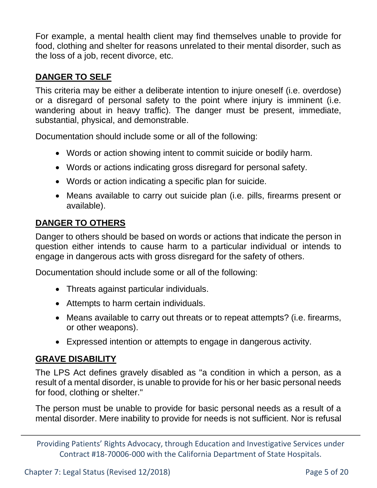For example, a mental health client may find themselves unable to provide for food, clothing and shelter for reasons unrelated to their mental disorder, such as the loss of a job, recent divorce, etc.

### **DANGER TO SELF**

This criteria may be either a deliberate intention to injure oneself (i.e. overdose) or a disregard of personal safety to the point where injury is imminent (i.e. wandering about in heavy traffic). The danger must be present, immediate, substantial, physical, and demonstrable.

Documentation should include some or all of the following:

- Words or action showing intent to commit suicide or bodily harm.
- Words or actions indicating gross disregard for personal safety.
- Words or action indicating a specific plan for suicide.
- Means available to carry out suicide plan (i.e. pills, firearms present or available).

### **DANGER TO OTHERS**

Danger to others should be based on words or actions that indicate the person in question either intends to cause harm to a particular individual or intends to engage in dangerous acts with gross disregard for the safety of others.

Documentation should include some or all of the following:

- Threats against particular individuals.
- Attempts to harm certain individuals.
- Means available to carry out threats or to repeat attempts? (i.e. firearms, or other weapons).
- Expressed intention or attempts to engage in dangerous activity.

## **GRAVE DISABILITY**

The LPS Act defines gravely disabled as "a condition in which a person, as a result of a mental disorder, is unable to provide for his or her basic personal needs for food, clothing or shelter."

The person must be unable to provide for basic personal needs as a result of a mental disorder. Mere inability to provide for needs is not sufficient. Nor is refusal

Providing Patients' Rights Advocacy, through Education and Investigative Services under Contract #18-70006-000 with the California Department of State Hospitals.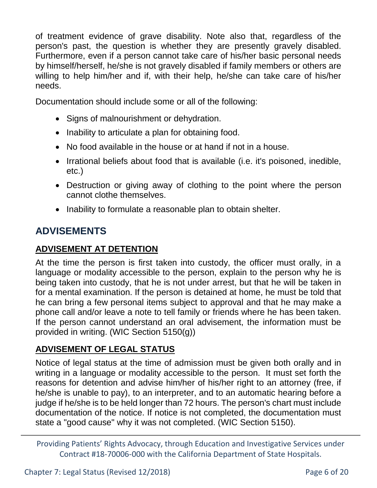of treatment evidence of grave disability. Note also that, regardless of the person's past, the question is whether they are presently gravely disabled. Furthermore, even if a person cannot take care of his/her basic personal needs by himself/herself, he/she is not gravely disabled if family members or others are willing to help him/her and if, with their help, he/she can take care of his/her needs.

Documentation should include some or all of the following:

- Signs of malnourishment or dehydration.
- Inability to articulate a plan for obtaining food.
- No food available in the house or at hand if not in a house.
- Irrational beliefs about food that is available (i.e. it's poisoned, inedible, etc.)
- Destruction or giving away of clothing to the point where the person cannot clothe themselves.
- Inability to formulate a reasonable plan to obtain shelter.

# **ADVISEMENTS**

## **ADVISEMENT AT DETENTION**

At the time the person is first taken into custody, the officer must orally, in a language or modality accessible to the person, explain to the person why he is being taken into custody, that he is not under arrest, but that he will be taken in for a mental examination. If the person is detained at home, he must be told that he can bring a few personal items subject to approval and that he may make a phone call and/or leave a note to tell family or friends where he has been taken. If the person cannot understand an oral advisement, the information must be provided in writing. (WIC Section 5150(g))

## **ADVISEMENT OF LEGAL STATUS**

Notice of legal status at the time of admission must be given both orally and in writing in a language or modality accessible to the person. It must set forth the reasons for detention and advise him/her of his/her right to an attorney (free, if he/she is unable to pay), to an interpreter, and to an automatic hearing before a judge if he/she is to be held longer than 72 hours. The person's chart must include documentation of the notice. If notice is not completed, the documentation must state a "good cause" why it was not completed. (WIC Section 5150).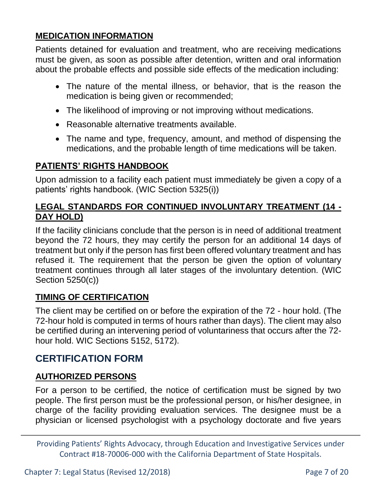### **MEDICATION INFORMATION**

Patients detained for evaluation and treatment, who are receiving medications must be given, as soon as possible after detention, written and oral information about the probable effects and possible side effects of the medication including:

- The nature of the mental illness, or behavior, that is the reason the medication is being given or recommended;
- The likelihood of improving or not improving without medications.
- Reasonable alternative treatments available.
- The name and type, frequency, amount, and method of dispensing the medications, and the probable length of time medications will be taken.

### **PATIENTS' RIGHTS HANDBOOK**

Upon admission to a facility each patient must immediately be given a copy of a patients' rights handbook. (WIC Section 5325(i))

### **LEGAL STANDARDS FOR CONTINUED INVOLUNTARY TREATMENT (14 - DAY HOLD)**

If the facility clinicians conclude that the person is in need of additional treatment beyond the 72 hours, they may certify the person for an additional 14 days of treatment but only if the person has first been offered voluntary treatment and has refused it. The requirement that the person be given the option of voluntary treatment continues through all later stages of the involuntary detention. (WIC Section 5250(c))

### **TIMING OF CERTIFICATION**

The client may be certified on or before the expiration of the 72 - hour hold. (The 72-hour hold is computed in terms of hours rather than days). The client may also be certified during an intervening period of voluntariness that occurs after the 72 hour hold. WIC Sections 5152, 5172).

## **CERTIFICATION FORM**

### **AUTHORIZED PERSONS**

For a person to be certified, the notice of certification must be signed by two people. The first person must be the professional person, or his/her designee, in charge of the facility providing evaluation services. The designee must be a physician or licensed psychologist with a psychology doctorate and five years

Providing Patients' Rights Advocacy, through Education and Investigative Services under Contract #18-70006-000 with the California Department of State Hospitals.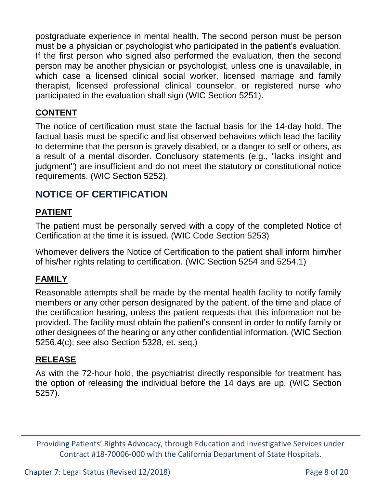postgraduate experience in mental health. The second person must be person must be a physician or psychologist who participated in the patient's evaluation. If the first person who signed also performed the evaluation, then the second person may be another physician or psychologist, unless one is unavailable, in which case a licensed clinical social worker, licensed marriage and family therapist, licensed professional clinical counselor, or registered nurse who participated in the evaluation shall sign (WIC Section 5251).

### **CONTENT**

The notice of certification must state the factual basis for the 14-day hold. The factual basis must be specific and list observed behaviors which lead the facility to determine that the person is gravely disabled, or a danger to self or others, as a result of a mental disorder. Conclusory statements (e.g., "lacks insight and judgment") are insufficient and do not meet the statutory or constitutional notice requirements. (WIC Section 5252).

## **NOTICE OF CERTIFICATION**

### **PATIENT**

The patient must be personally served with a copy of the completed Notice of Certification at the time it is issued. (WIC Code Section 5253)

Whomever delivers the Notice of Certification to the patient shall inform him/her of his/her rights relating to certification. (WIC Section 5254 and 5254.1)

### **FAMILY**

Reasonable attempts shall be made by the mental health facility to notify family members or any other person designated by the patient, of the time and place of the certification hearing, unless the patient requests that this information not be provided. The facility must obtain the patient's consent in order to notify family or other designees of the hearing or any other confidential information. (WIC Section 5256.4(c); see also Section 5328, et. seq.)

#### **RELEASE**

As with the 72-hour hold, the psychiatrist directly responsible for treatment has the option of releasing the individual before the 14 days are up. (WIC Section 5257).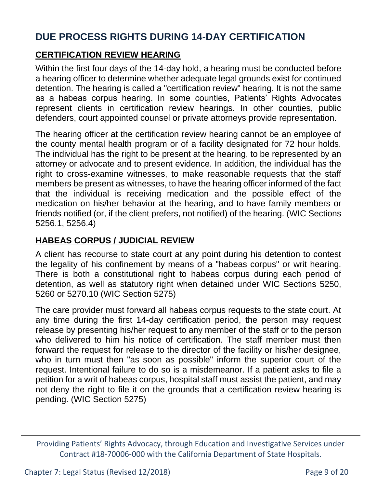## **DUE PROCESS RIGHTS DURING 14-DAY CERTIFICATION**

### **CERTIFICATION REVIEW HEARING**

Within the first four days of the 14-day hold, a hearing must be conducted before a hearing officer to determine whether adequate legal grounds exist for continued detention. The hearing is called a "certification review" hearing. It is not the same as a habeas corpus hearing. In some counties, Patients' Rights Advocates represent clients in certification review hearings. In other counties, public defenders, court appointed counsel or private attorneys provide representation.

The hearing officer at the certification review hearing cannot be an employee of the county mental health program or of a facility designated for 72 hour holds. The individual has the right to be present at the hearing, to be represented by an attorney or advocate and to present evidence. In addition, the individual has the right to cross-examine witnesses, to make reasonable requests that the staff members be present as witnesses, to have the hearing officer informed of the fact that the individual is receiving medication and the possible effect of the medication on his/her behavior at the hearing, and to have family members or friends notified (or, if the client prefers, not notified) of the hearing. (WIC Sections 5256.1, 5256.4)

### **HABEAS CORPUS / JUDICIAL REVIEW**

A client has recourse to state court at any point during his detention to contest the legality of his confinement by means of a "habeas corpus" or writ hearing. There is both a constitutional right to habeas corpus during each period of detention, as well as statutory right when detained under WIC Sections 5250, 5260 or 5270.10 (WIC Section 5275)

The care provider must forward all habeas corpus requests to the state court. At any time during the first 14-day certification period, the person may request release by presenting his/her request to any member of the staff or to the person who delivered to him his notice of certification. The staff member must then forward the request for release to the director of the facility or his/her designee, who in turn must then "as soon as possible" inform the superior court of the request. Intentional failure to do so is a misdemeanor. If a patient asks to file a petition for a writ of habeas corpus, hospital staff must assist the patient, and may not deny the right to file it on the grounds that a certification review hearing is pending. (WIC Section 5275)

Providing Patients' Rights Advocacy, through Education and Investigative Services under Contract #18-70006-000 with the California Department of State Hospitals.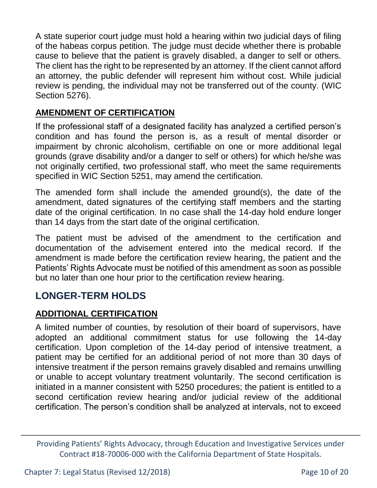A state superior court judge must hold a hearing within two judicial days of filing of the habeas corpus petition. The judge must decide whether there is probable cause to believe that the patient is gravely disabled, a danger to self or others. The client has the right to be represented by an attorney. If the client cannot afford an attorney, the public defender will represent him without cost. While judicial review is pending, the individual may not be transferred out of the county. (WIC Section 5276).

#### **AMENDMENT OF CERTIFICATION**

If the professional staff of a designated facility has analyzed a certified person's condition and has found the person is, as a result of mental disorder or impairment by chronic alcoholism, certifiable on one or more additional legal grounds (grave disability and/or a danger to self or others) for which he/she was not originally certified, two professional staff, who meet the same requirements specified in WIC Section 5251, may amend the certification.

The amended form shall include the amended ground(s), the date of the amendment, dated signatures of the certifying staff members and the starting date of the original certification. In no case shall the 14-day hold endure longer than 14 days from the start date of the original certification.

The patient must be advised of the amendment to the certification and documentation of the advisement entered into the medical record. If the amendment is made before the certification review hearing, the patient and the Patients' Rights Advocate must be notified of this amendment as soon as possible but no later than one hour prior to the certification review hearing.

## **LONGER-TERM HOLDS**

### **ADDITIONAL CERTIFICATION**

A limited number of counties, by resolution of their board of supervisors, have adopted an additional commitment status for use following the 14-day certification. Upon completion of the 14-day period of intensive treatment, a patient may be certified for an additional period of not more than 30 days of intensive treatment if the person remains gravely disabled and remains unwilling or unable to accept voluntary treatment voluntarily. The second certification is initiated in a manner consistent with 5250 procedures; the patient is entitled to a second certification review hearing and/or judicial review of the additional certification. The person's condition shall be analyzed at intervals, not to exceed

Providing Patients' Rights Advocacy, through Education and Investigative Services under Contract #18-70006-000 with the California Department of State Hospitals.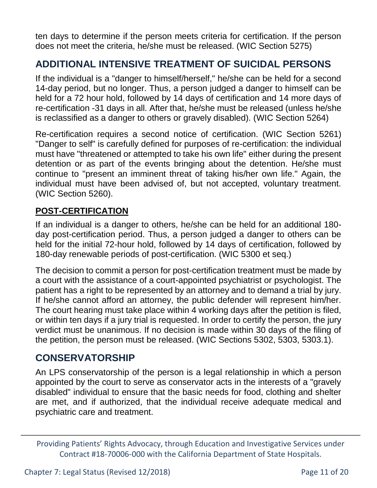ten days to determine if the person meets criteria for certification. If the person does not meet the criteria, he/she must be released. (WIC Section 5275)

# **ADDITIONAL INTENSIVE TREATMENT OF SUICIDAL PERSONS**

If the individual is a "danger to himself/herself," he/she can be held for a second 14-day period, but no longer. Thus, a person judged a danger to himself can be held for a 72 hour hold, followed by 14 days of certification and 14 more days of re-certification -31 days in all. After that, he/she must be released (unless he/she is reclassified as a danger to others or gravely disabled). (WIC Section 5264)

Re-certification requires a second notice of certification. (WIC Section 5261) "Danger to self" is carefully defined for purposes of re-certification: the individual must have "threatened or attempted to take his own life" either during the present detention or as part of the events bringing about the detention. He/she must continue to "present an imminent threat of taking his/her own life." Again, the individual must have been advised of, but not accepted, voluntary treatment. (WIC Section 5260).

### **POST-CERTIFICATION**

If an individual is a danger to others, he/she can be held for an additional 180 day post-certification period. Thus, a person judged a danger to others can be held for the initial 72-hour hold, followed by 14 days of certification, followed by 180-day renewable periods of post-certification. (WIC 5300 et seq.)

The decision to commit a person for post-certification treatment must be made by a court with the assistance of a court-appointed psychiatrist or psychologist. The patient has a right to be represented by an attorney and to demand a trial by jury. If he/she cannot afford an attorney, the public defender will represent him/her. The court hearing must take place within 4 working days after the petition is filed, or within ten days if a jury trial is requested. In order to certify the person, the jury verdict must be unanimous. If no decision is made within 30 days of the filing of the petition, the person must be released. (WIC Sections 5302, 5303, 5303.1).

## **CONSERVATORSHIP**

An LPS conservatorship of the person is a legal relationship in which a person appointed by the court to serve as conservator acts in the interests of a "gravely disabled" individual to ensure that the basic needs for food, clothing and shelter are met, and if authorized, that the individual receive adequate medical and psychiatric care and treatment.

Providing Patients' Rights Advocacy, through Education and Investigative Services under Contract #18-70006-000 with the California Department of State Hospitals.

Chapter 7: Legal Status (Revised 12/2018) Page 11 of 20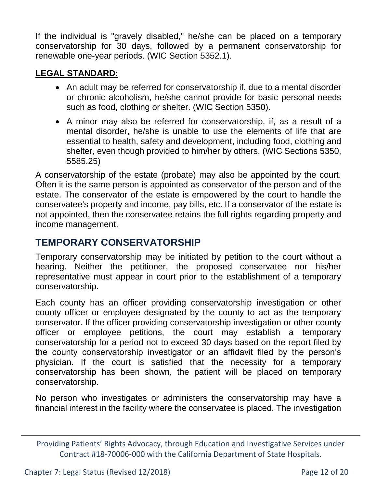If the individual is "gravely disabled," he/she can be placed on a temporary conservatorship for 30 days, followed by a permanent conservatorship for renewable one-year periods. (WIC Section 5352.1).

#### **LEGAL STANDARD:**

- An adult may be referred for conservatorship if, due to a mental disorder or chronic alcoholism, he/she cannot provide for basic personal needs such as food, clothing or shelter. (WIC Section 5350).
- A minor may also be referred for conservatorship, if, as a result of a mental disorder, he/she is unable to use the elements of life that are essential to health, safety and development, including food, clothing and shelter, even though provided to him/her by others. (WIC Sections 5350, 5585.25)

A conservatorship of the estate (probate) may also be appointed by the court. Often it is the same person is appointed as conservator of the person and of the estate. The conservator of the estate is empowered by the court to handle the conservatee's property and income, pay bills, etc. If a conservator of the estate is not appointed, then the conservatee retains the full rights regarding property and income management.

## **TEMPORARY CONSERVATORSHIP**

Temporary conservatorship may be initiated by petition to the court without a hearing. Neither the petitioner, the proposed conservatee nor his/her representative must appear in court prior to the establishment of a temporary conservatorship.

Each county has an officer providing conservatorship investigation or other county officer or employee designated by the county to act as the temporary conservator. If the officer providing conservatorship investigation or other county officer or employee petitions, the court may establish a temporary conservatorship for a period not to exceed 30 days based on the report filed by the county conservatorship investigator or an affidavit filed by the person's physician. If the court is satisfied that the necessity for a temporary conservatorship has been shown, the patient will be placed on temporary conservatorship.

No person who investigates or administers the conservatorship may have a financial interest in the facility where the conservatee is placed. The investigation

Providing Patients' Rights Advocacy, through Education and Investigative Services under Contract #18-70006-000 with the California Department of State Hospitals.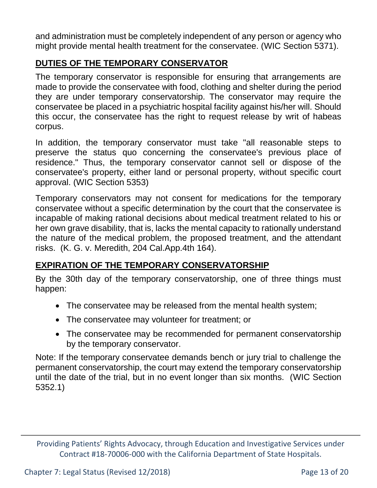and administration must be completely independent of any person or agency who might provide mental health treatment for the conservatee. (WIC Section 5371).

### **DUTIES OF THE TEMPORARY CONSERVATOR**

The temporary conservator is responsible for ensuring that arrangements are made to provide the conservatee with food, clothing and shelter during the period they are under temporary conservatorship. The conservator may require the conservatee be placed in a psychiatric hospital facility against his/her will. Should this occur, the conservatee has the right to request release by writ of habeas corpus.

In addition, the temporary conservator must take "all reasonable steps to preserve the status quo concerning the conservatee's previous place of residence." Thus, the temporary conservator cannot sell or dispose of the conservatee's property, either land or personal property, without specific court approval. (WIC Section 5353)

Temporary conservators may not consent for medications for the temporary conservatee without a specific determination by the court that the conservatee is incapable of making rational decisions about medical treatment related to his or her own grave disability, that is, lacks the mental capacity to rationally understand the nature of the medical problem, the proposed treatment, and the attendant risks. (K. G. v. Meredith, 204 Cal.App.4th 164).

## **EXPIRATION OF THE TEMPORARY CONSERVATORSHIP**

By the 30th day of the temporary conservatorship, one of three things must happen:

- The conservatee may be released from the mental health system;
- The conservatee may volunteer for treatment; or
- The conservatee may be recommended for permanent conservatorship by the temporary conservator.

Note: If the temporary conservatee demands bench or jury trial to challenge the permanent conservatorship, the court may extend the temporary conservatorship until the date of the trial, but in no event longer than six months. (WIC Section 5352.1)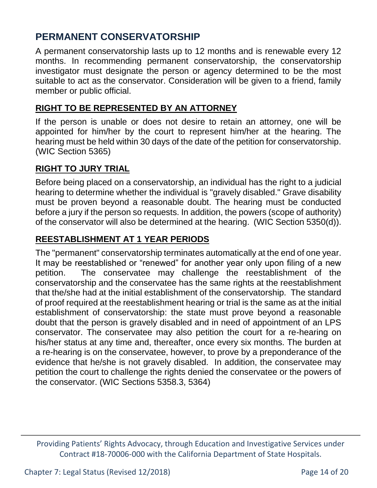## **PERMANENT CONSERVATORSHIP**

A permanent conservatorship lasts up to 12 months and is renewable every 12 months. In recommending permanent conservatorship, the conservatorship investigator must designate the person or agency determined to be the most suitable to act as the conservator. Consideration will be given to a friend, family member or public official.

#### **RIGHT TO BE REPRESENTED BY AN ATTORNEY**

If the person is unable or does not desire to retain an attorney, one will be appointed for him/her by the court to represent him/her at the hearing. The hearing must be held within 30 days of the date of the petition for conservatorship. (WIC Section 5365)

#### **RIGHT TO JURY TRIAL**

Before being placed on a conservatorship, an individual has the right to a judicial hearing to determine whether the individual is "gravely disabled." Grave disability must be proven beyond a reasonable doubt. The hearing must be conducted before a jury if the person so requests. In addition, the powers (scope of authority) of the conservator will also be determined at the hearing. (WIC Section 5350(d)).

### **REESTABLISHMENT AT 1 YEAR PERIODS**

The "permanent" conservatorship terminates automatically at the end of one year. It may be reestablished or "renewed" for another year only upon filing of a new petition. The conservatee may challenge the reestablishment of the conservatorship and the conservatee has the same rights at the reestablishment that the/she had at the initial establishment of the conservatorship. The standard of proof required at the reestablishment hearing or trial is the same as at the initial establishment of conservatorship: the state must prove beyond a reasonable doubt that the person is gravely disabled and in need of appointment of an LPS conservator. The conservatee may also petition the court for a re-hearing on his/her status at any time and, thereafter, once every six months. The burden at a re-hearing is on the conservatee, however, to prove by a preponderance of the evidence that he/she is not gravely disabled. In addition, the conservatee may petition the court to challenge the rights denied the conservatee or the powers of the conservator. (WIC Sections 5358.3, 5364)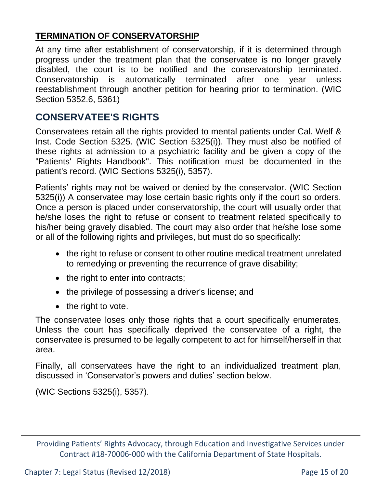### **TERMINATION OF CONSERVATORSHIP**

At any time after establishment of conservatorship, if it is determined through progress under the treatment plan that the conservatee is no longer gravely disabled, the court is to be notified and the conservatorship terminated. Conservatorship is automatically terminated after one year unless reestablishment through another petition for hearing prior to termination. (WIC Section 5352.6, 5361)

## **CONSERVATEE'S RIGHTS**

Conservatees retain all the rights provided to mental patients under Cal. Welf & Inst. Code Section 5325. (WIC Section 5325(i)). They must also be notified of these rights at admission to a psychiatric facility and be given a copy of the "Patients' Rights Handbook". This notification must be documented in the patient's record. (WIC Sections 5325(i), 5357).

Patients' rights may not be waived or denied by the conservator. (WIC Section 5325(i)) A conservatee may lose certain basic rights only if the court so orders. Once a person is placed under conservatorship, the court will usually order that he/she loses the right to refuse or consent to treatment related specifically to his/her being gravely disabled. The court may also order that he/she lose some or all of the following rights and privileges, but must do so specifically:

- the right to refuse or consent to other routine medical treatment unrelated to remedying or preventing the recurrence of grave disability;
- $\bullet$  the right to enter into contracts;
- the privilege of possessing a driver's license; and
- the right to vote.

The conservatee loses only those rights that a court specifically enumerates. Unless the court has specifically deprived the conservatee of a right, the conservatee is presumed to be legally competent to act for himself/herself in that area.

Finally, all conservatees have the right to an individualized treatment plan, discussed in 'Conservator's powers and duties' section below.

(WIC Sections 5325(i), 5357).

Providing Patients' Rights Advocacy, through Education and Investigative Services under Contract #18-70006-000 with the California Department of State Hospitals.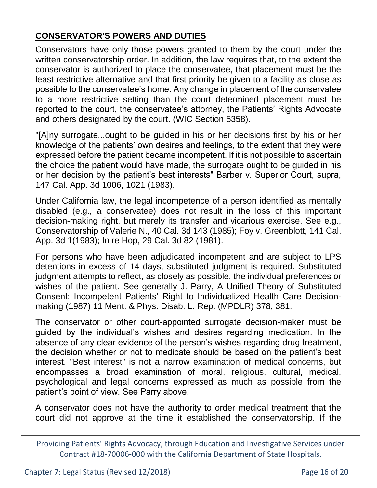## **CONSERVATOR'S POWERS AND DUTIES**

Conservators have only those powers granted to them by the court under the written conservatorship order. In addition, the law requires that, to the extent the conservator is authorized to place the conservatee, that placement must be the least restrictive alternative and that first priority be given to a facility as close as possible to the conservatee's home. Any change in placement of the conservatee to a more restrictive setting than the court determined placement must be reported to the court, the conservatee's attorney, the Patients' Rights Advocate and others designated by the court. (WIC Section 5358).

"[A]ny surrogate...ought to be guided in his or her decisions first by his or her knowledge of the patients' own desires and feelings, to the extent that they were expressed before the patient became incompetent. If it is not possible to ascertain the choice the patient would have made, the surrogate ought to be guided in his or her decision by the patient's best interests" Barber v. Superior Court, supra, 147 Cal. App. 3d 1006, 1021 (1983).

Under California law, the legal incompetence of a person identified as mentally disabled (e.g., a conservatee) does not result in the loss of this important decision-making right, but merely its transfer and vicarious exercise. See e.g., Conservatorship of Valerie N., 40 Cal. 3d 143 (1985); Foy v. Greenblott, 141 Cal. App. 3d 1(1983); In re Hop, 29 Cal. 3d 82 (1981).

For persons who have been adjudicated incompetent and are subject to LPS detentions in excess of 14 days, substituted judgment is required. Substituted judgment attempts to reflect, as closely as possible, the individual preferences or wishes of the patient. See generally J. Parry, A Unified Theory of Substituted Consent: Incompetent Patients' Right to Individualized Health Care Decisionmaking (1987) 11 Ment. & Phys. Disab. L. Rep. (MPDLR) 378, 381.

The conservator or other court-appointed surrogate decision-maker must be guided by the individual's wishes and desires regarding medication. In the absence of any clear evidence of the person's wishes regarding drug treatment, the decision whether or not to medicate should be based on the patient's best interest. "Best interest" is not a narrow examination of medical concerns, but encompasses a broad examination of moral, religious, cultural, medical, psychological and legal concerns expressed as much as possible from the patient's point of view. See Parry above.

A conservator does not have the authority to order medical treatment that the court did not approve at the time it established the conservatorship. If the

Providing Patients' Rights Advocacy, through Education and Investigative Services under Contract #18-70006-000 with the California Department of State Hospitals.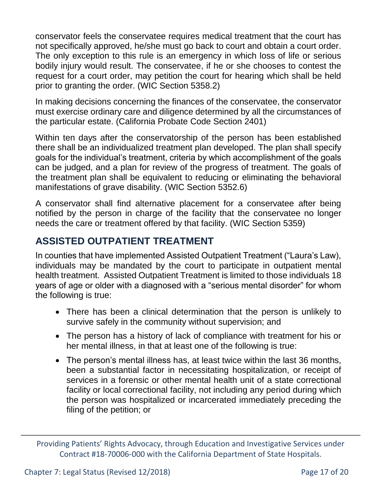conservator feels the conservatee requires medical treatment that the court has not specifically approved, he/she must go back to court and obtain a court order. The only exception to this rule is an emergency in which loss of life or serious bodily injury would result. The conservatee, if he or she chooses to contest the request for a court order, may petition the court for hearing which shall be held prior to granting the order. (WIC Section 5358.2)

In making decisions concerning the finances of the conservatee, the conservator must exercise ordinary care and diligence determined by all the circumstances of the particular estate. (California Probate Code Section 2401)

Within ten days after the conservatorship of the person has been established there shall be an individualized treatment plan developed. The plan shall specify goals for the individual's treatment, criteria by which accomplishment of the goals can be judged, and a plan for review of the progress of treatment. The goals of the treatment plan shall be equivalent to reducing or eliminating the behavioral manifestations of grave disability. (WIC Section 5352.6)

A conservator shall find alternative placement for a conservatee after being notified by the person in charge of the facility that the conservatee no longer needs the care or treatment offered by that facility. (WIC Section 5359)

# **ASSISTED OUTPATIENT TREATMENT**

In counties that have implemented Assisted Outpatient Treatment ("Laura's Law), individuals may be mandated by the court to participate in outpatient mental health treatment. Assisted Outpatient Treatment is limited to those individuals 18 years of age or older with a diagnosed with a "serious mental disorder" for whom the following is true:

- There has been a clinical determination that the person is unlikely to survive safely in the community without supervision; and
- The person has a history of lack of compliance with treatment for his or her mental illness, in that at least one of the following is true:
- The person's mental illness has, at least twice within the last 36 months, been a substantial factor in necessitating hospitalization, or receipt of services in a forensic or other mental health unit of a state correctional facility or local correctional facility, not including any period during which the person was hospitalized or incarcerated immediately preceding the filing of the petition; or

Providing Patients' Rights Advocacy, through Education and Investigative Services under Contract #18-70006-000 with the California Department of State Hospitals.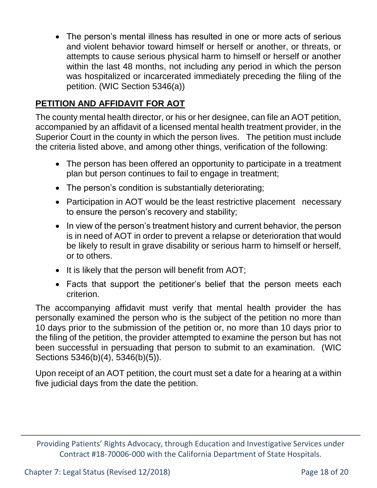The person's mental illness has resulted in one or more acts of serious and violent behavior toward himself or herself or another, or threats, or attempts to cause serious physical harm to himself or herself or another within the last 48 months, not including any period in which the person was hospitalized or incarcerated immediately preceding the filing of the petition. (WIC Section 5346(a))

### **PETITION AND AFFIDAVIT FOR AOT**

The county mental health director, or his or her designee, can file an AOT petition, accompanied by an affidavit of a licensed mental health treatment provider, in the Superior Court in the county in which the person lives. The petition must include the criteria listed above, and among other things, verification of the following:

- The person has been offered an opportunity to participate in a treatment plan but person continues to fail to engage in treatment;
- The person's condition is substantially deteriorating;
- Participation in AOT would be the least restrictive placement necessary to ensure the person's recovery and stability;
- In view of the person's treatment history and current behavior, the person is in need of AOT in order to prevent a relapse or deterioration that would be likely to result in grave disability or serious harm to himself or herself, or to others.
- It is likely that the person will benefit from AOT;
- Facts that support the petitioner's belief that the person meets each criterion.

The accompanying affidavit must verify that mental health provider the has personally examined the person who is the subject of the petition no more than 10 days prior to the submission of the petition or, no more than 10 days prior to the filing of the petition, the provider attempted to examine the person but has not been successful in persuading that person to submit to an examination. (WIC Sections 5346(b)(4), 5346(b)(5)).

Upon receipt of an AOT petition, the court must set a date for a hearing at a within five judicial days from the date the petition.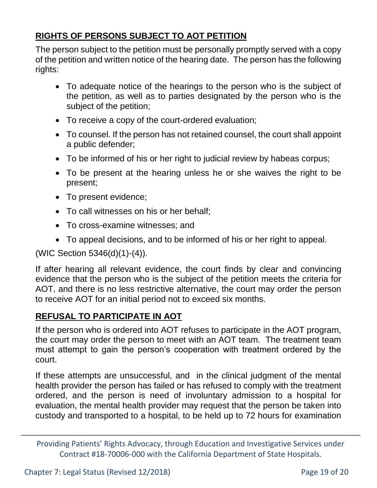## **RIGHTS OF PERSONS SUBJECT TO AOT PETITION**

The person subject to the petition must be personally promptly served with a copy of the petition and written notice of the hearing date. The person has the following rights:

- To adequate notice of the hearings to the person who is the subject of the petition, as well as to parties designated by the person who is the subject of the petition;
- To receive a copy of the court-ordered evaluation;
- To counsel. If the person has not retained counsel, the court shall appoint a public defender;
- To be informed of his or her right to judicial review by habeas corpus;
- To be present at the hearing unless he or she waives the right to be present;
- To present evidence;
- To call witnesses on his or her behalf;
- To cross-examine witnesses; and
- To appeal decisions, and to be informed of his or her right to appeal.

(WIC Section 5346(d)(1)-(4)).

If after hearing all relevant evidence, the court finds by clear and convincing evidence that the person who is the subject of the petition meets the criteria for AOT, and there is no less restrictive alternative, the court may order the person to receive AOT for an initial period not to exceed six months.

## **REFUSAL TO PARTICIPATE IN AOT**

If the person who is ordered into AOT refuses to participate in the AOT program, the court may order the person to meet with an AOT team. The treatment team must attempt to gain the person's cooperation with treatment ordered by the court.

If these attempts are unsuccessful, and in the clinical judgment of the mental health provider the person has failed or has refused to comply with the treatment ordered, and the person is need of involuntary admission to a hospital for evaluation, the mental health provider may request that the person be taken into custody and transported to a hospital, to be held up to 72 hours for examination

Providing Patients' Rights Advocacy, through Education and Investigative Services under Contract #18-70006-000 with the California Department of State Hospitals.